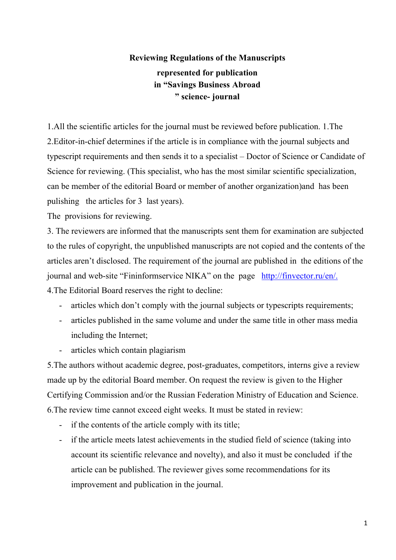## **Reviewing Regulations of the Manuscripts represented for publication in "Savings Business Abroad " science- journal**

1.All the scientific articles for the journal must be reviewed before publication. 1.The 2.Editor-in-chief determines if the article is in compliance with the journal subjects and typescript requirements and then sends it to a specialist – Doctor of Science or Candidate of Science for reviewing. (This specialist, who has the most similar scientific specialization, can be member of the editorial Board or member of another organization)and has been pulishing the articles for 3 last years).

The provisions for reviewing.

3. The reviewers are informed that the manuscripts sent them for examination are subjected to the rules of copyright, the unpublished manuscripts are not copied and the contents of the articles aren't disclosed. The requirement of the journal are published in the editions of the journal and web-site "Fininformservice NIKA" on the page [http://finvector.ru/e](http://finvector.ru/)n/.

4.The Editorial Board reserves the right to decline:

- articles which don't comply with the journal subjects or typescripts requirements;
- articles published in the same volume and under the same title in other mass media including the Internet;
- articles which contain plagiarism

5.The authors without academic degree, post-graduates, competitors, interns give a review made up by the editorial Board member. On request the review is given to the Higher Certifying Commission and/or the Russian Federation Ministry of Education and Science. 6.The review time cannot exceed eight weeks. It must be stated in review:

- if the contents of the article comply with its title;
- if the article meets latest achievements in the studied field of science (taking into account its scientific relevance and novelty), and also it must be concluded if the article can be published. The reviewer gives some recommendations for its improvement and publication in the journal.